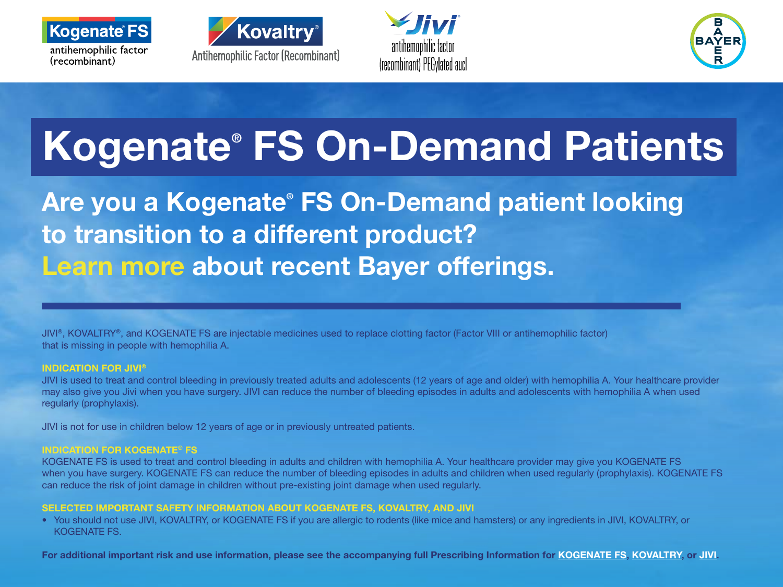







## Kogenate® FS On-Demand Patients

Are you a Kogenate® FS On-Demand patient looking to transition to a different product? Learn more about recent Bayer offerings.

JIVI®, KOVALTRY®, and KOGENATE FS are injectable medicines used to replace clotting factor (Factor VIII or antihemophilic factor) that is missing in people with hemophilia A.

### INDICATION FOR JIVI®

JIVI is used to treat and control bleeding in previously treated adults and adolescents (12 years of age and older) with hemophilia A. Your healthcare provider may also give you Jivi when you have surgery. JIVI can reduce the number of bleeding episodes in adults and adolescents with hemophilia A when used regularly (prophylaxis).

JIVI is not for use in children below 12 years of age or in previously untreated patients.

### INDICATION FOR KOGENATE® FS

KOGENATE FS is used to treat and control bleeding in adults and children with hemophilia A. Your healthcare provider may give you KOGENATE FS when you have surgery. KOGENATE FS can reduce the number of bleeding episodes in adults and children when used regularly (prophylaxis). KOGENATE FS can reduce the risk of joint damage in children without pre-existing joint damage when used regularly.

### SELECTED IMPORTANT SAFETY INFORMATION ABOUT KOGENATE FS, KOVALTRY, AND JIVI

• You should not use JIVI, KOVALTRY, or KOGENATE FS if you are allergic to rodents (like mice and hamsters) or any ingredients in JIVI, KOVALTRY, or KOGENATE FS.

For additional important risk and use information, please see the accompanying full Prescribing Information for [KOGENATE FS](http://labeling.bayerhealthcare.com/html/products/pi/Kogenate-w-vial-adapter_PI.pdf), [KOVALTRY](http://labeling.bayerhealthcare.com/html/products/pi/Kovaltry_PI.pdf), or [JIVI](https://labeling.bayerhealthcare.com/html/products/pi/Jivi_PI.pdf).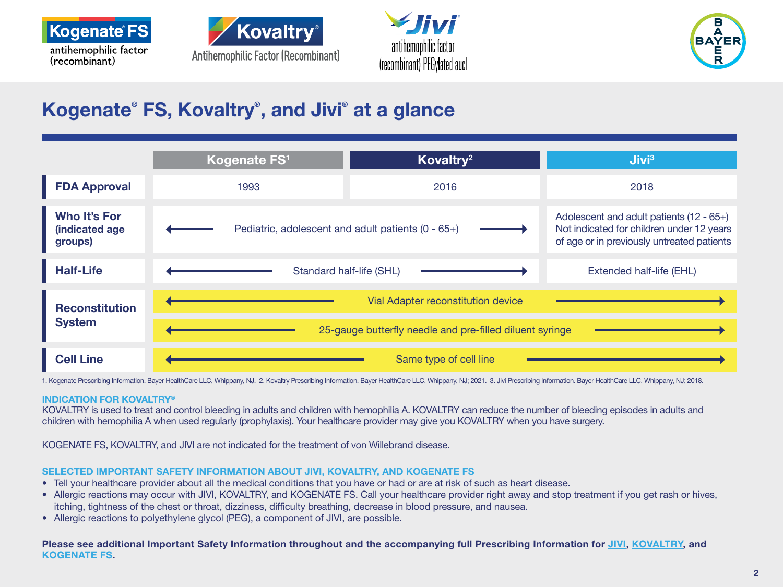







## Kogenate® FS, Kovaltry® , and Jivi® at a glance

|                                                  | Kogenate FS <sup>1</sup>                                 | Kovaltry <sup>2</sup>           | $J$ ivi $3$                                                                                                                         |
|--------------------------------------------------|----------------------------------------------------------|---------------------------------|-------------------------------------------------------------------------------------------------------------------------------------|
| <b>FDA Approval</b>                              | 1993                                                     | 2016                            | 2018                                                                                                                                |
| <b>Who It's For</b><br>(indicated age<br>groups) | Pediatric, adolescent and adult patients (0 - 65+)       |                                 | Adolescent and adult patients (12 - 65+)<br>Not indicated for children under 12 years<br>of age or in previously untreated patients |
| <b>Half-Life</b>                                 |                                                          | <b>Standard half-life (SHL)</b> |                                                                                                                                     |
| <b>Reconstitution</b><br><b>System</b>           | <b>Vial Adapter reconstitution device</b>                |                                 |                                                                                                                                     |
|                                                  | 25-gauge butterfly needle and pre-filled diluent syringe |                                 |                                                                                                                                     |
| <b>Cell Line</b>                                 | Same type of cell line                                   |                                 |                                                                                                                                     |

1. Kogenate Prescribing Information. Bayer HealthCare LLC, Whippany, NJ. 2. Kovaltry Prescribing Information. Bayer HealthCare LLC, Whippany, NJ; 2021. 3. Jivi Prescribing Information. Bayer HealthCare LLC, Whippany, NJ; 2

#### INDICATION FOR KOVALTRY®

KOVALTRY is used to treat and control bleeding in adults and children with hemophilia A. KOVALTRY can reduce the number of bleeding episodes in adults and children with hemophilia A when used regularly (prophylaxis). Your healthcare provider may give you KOVALTRY when you have surgery.

KOGENATE FS, KOVALTRY, and JIVI are not indicated for the treatment of von Willebrand disease.

### SELECTED IMPORTANT SAFETY INFORMATION ABOUT JIVI, KOVALTRY, AND KOGENATE FS

- Tell your healthcare provider about all the medical conditions that you have or had or are at risk of such as heart disease.
- Allergic reactions may occur with JIVI, KOVALTRY, and KOGENATE FS. Call your healthcare provider right away and stop treatment if you get rash or hives, itching, tightness of the chest or throat, dizziness, difficulty breathing, decrease in blood pressure, and nausea.
- Allergic reactions to polyethylene glycol (PEG), a component of JIVI, are possible.

Please see additional Important Safety Information throughout and the accompanying full Prescribing Information for [JIVI,](https://labeling.bayerhealthcare.com/html/products/pi/Jivi_PI.pdf) [KOVALTRY](http://labeling.bayerhealthcare.com/html/products/pi/Kovaltry_PI.pdf), and [KOGENATE FS](http://labeling.bayerhealthcare.com/html/products/pi/Kogenate-w-vial-adapter_PI.pdf).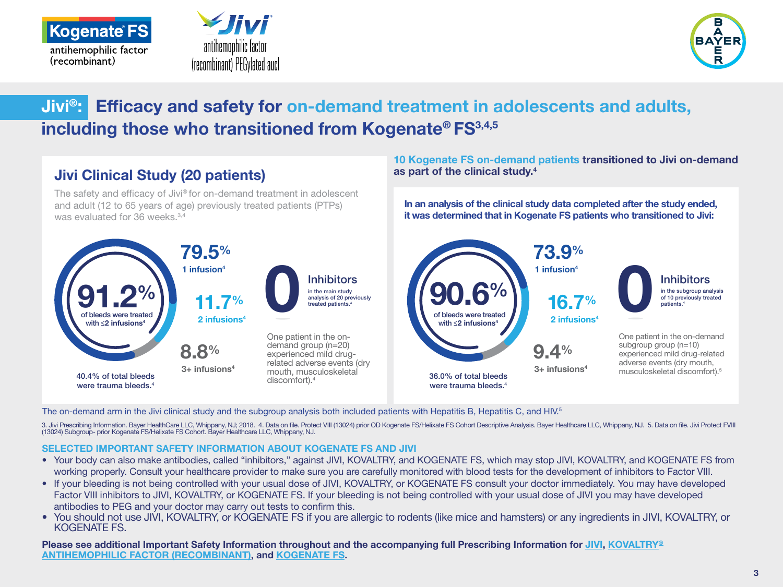





## Jivi®: Efficacy and safety for on-demand treatment in adolescents and adults, including those who transitioned from Kogenate® FS<sup>3,4,5</sup>



The on-demand arm in the Jivi clinical study and the subgroup analysis both included patients with Hepatitis B, Hepatitis C, and HIV.<sup>5</sup>

3. Jivi Prescribing Information. Bayer HealthCare LLC, Whippany, NJ; 2018. 4. Data on file. Protect VIII (13024) prior OD Kogenate FS/Helixate FS Cohort Descriptive Analysis. Bayer Healthcare LLC, Whippany, NJ. 5. Data on (13024) Subgroup- prior Kogenate FS/Helixate FS Cohort. Bayer Healthcare LLC, Whippany, NJ.

## SELECTED IMPORTANT SAFETY INFORMATION ABOUT KOGENATE FS AND JIVI

- Your body can also make antibodies, called "inhibitors," against JIVI, KOVALTRY, and KOGENATE FS, which may stop JIVI, KOVALTRY, and KOGENATE FS from working properly. Consult your healthcare provider to make sure you are carefully monitored with blood tests for the development of inhibitors to Factor VIII.
- If your bleeding is not being controlled with your usual dose of JIVI, KOVALTRY, or KOGENATE FS consult your doctor immediately. You may have developed Factor VIII inhibitors to JIVI, KOVALTRY, or KOGENATE FS. If your bleeding is not being controlled with your usual dose of JIVI you may have developed antibodies to PEG and your doctor may carry out tests to confirm this.
- You should not use JIVI, KOVALTRY, or KOGENATE FS if you are allergic to rodents (like mice and hamsters) or any ingredients in JIVI, KOVALTRY, or KOGENATE FS.

Please see additional Important Safety Information throughout and the accompanying full Prescribing Information for [JIVI](https://labeling.bayerhealthcare.com/html/products/pi/Jivi_PI.pdf), [KOVALTRY®](http://labeling.bayerhealthcare.com/html/products/pi/Kovaltry_PI.pdf) [ANTIHEMOPHILIC FACTOR \(RECOMBINANT\)](http://labeling.bayerhealthcare.com/html/products/pi/Kovaltry_PI.pdf), and [KOGENATE FS.](http://labeling.bayerhealthcare.com/html/products/pi/Kogenate-w-vial-adapter_PI.pdf)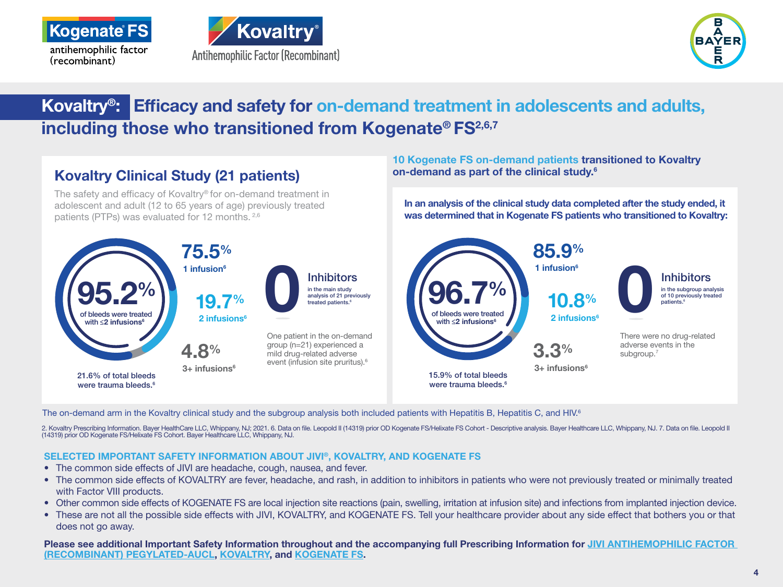

i<br>L





## Kovaltry®: Efficacy and safety for on-demand treatment in adolescents and adults, including those who transitioned from Kogenate® FS<sup>2,6,7</sup>



The on-demand arm in the Kovaltry clinical study and the subgroup analysis both included patients with Hepatitis B, Hepatitis C, and HIV.<sup>6</sup>

2. Kovaltry Prescribing Information. Bayer HealthCare LLC, Whippany, NJ; 2021. 6. Data on file. Leopold II (14319) prior OD Kogenate FS/Helixate FS Cohort - Descriptive analysis. Bayer Healthcare LLC, Whippany, NJ. 7. Data (14319) prior OD Kogenate FS/Helixate FS Cohort. Bayer Healthcare LLC, Whippany, NJ.

## SELECTED IMPORTANT SAFETY INFORMATION ABOUT JIVI®, KOVALTRY, AND KOGENATE FS

- The common side effects of JIVI are headache, cough, nausea, and fever.
- The common side effects of KOVALTRY are fever, headache, and rash, in addition to inhibitors in patients who were not previously treated or minimally treated with Factor VIII products.
- Other common side effects of KOGENATE FS are local injection site reactions (pain, swelling, irritation at infusion site) and infections from implanted injection device.
- These are not all the possible side effects with JIVI, KOVALTRY, and KOGENATE FS. Tell your healthcare provider about any side effect that bothers you or that does not go away.

Please see additional Important Safety Information throughout and the accompanying full Prescribing Information for [JIVI](https://labeling.bayerhealthcare.com/html/products/pi/Jivi_PI.pdf) [ANTIHEMOPHILIC FACTOR](https://labeling.bayerhealthcare.com/html/products/pi/Jivi_PI.pdf)  [\(RECOMBINANT\) PEGYLATED-AUCL,](https://labeling.bayerhealthcare.com/html/products/pi/Jivi_PI.pdf) [KOVALTRY](http://labeling.bayerhealthcare.com/html/products/pi/Kovaltry_PI.pdf), and [KOGENATE FS](http://labeling.bayerhealthcare.com/html/products/pi/Kogenate-w-vial-adapter_PI.pdf).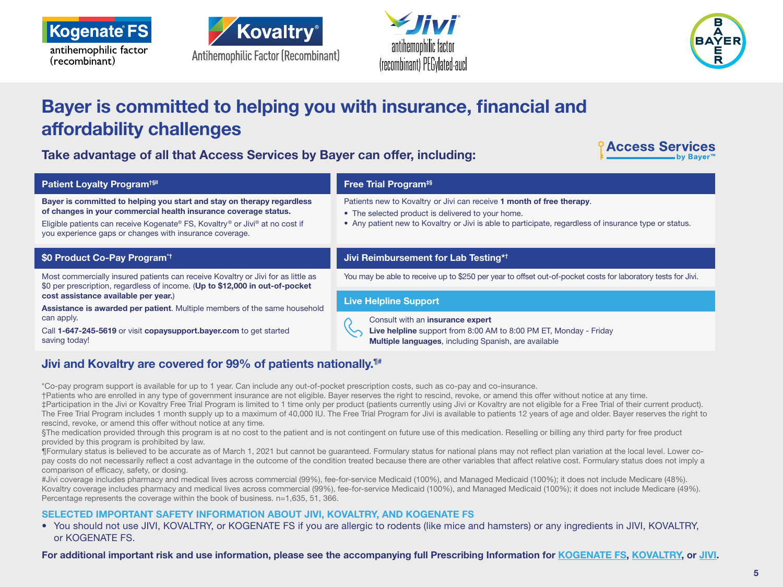







## Bayer is committed to helping you with insurance, financial and affordability challenges

Take advantage of all that Access Services by Bayer can offer, including:



| <b>Patient Loyalty Program<sup>tsil</sup></b>                                                                                                                                                                                                                                        | <b>Free Trial Program<sup>#§</sup></b>                                                                                                                                                                                              |  |
|--------------------------------------------------------------------------------------------------------------------------------------------------------------------------------------------------------------------------------------------------------------------------------------|-------------------------------------------------------------------------------------------------------------------------------------------------------------------------------------------------------------------------------------|--|
| Bayer is committed to helping you start and stay on therapy regardless<br>of changes in your commercial health insurance coverage status.<br>Eligible patients can receive Kogenate® FS, Kovaltry® or Jivi® at no cost if<br>you experience gaps or changes with insurance coverage. | Patients new to Kovaltry or Jivi can receive 1 month of free therapy.<br>• The selected product is delivered to your home.<br>• Any patient new to Kovaltry or Jivi is able to participate, regardless of insurance type or status. |  |
| \$0 Product Co-Pay Program <sup>*†</sup>                                                                                                                                                                                                                                             | Jivi Reimbursement for Lab Testing* <sup>†</sup>                                                                                                                                                                                    |  |
| Most commercially insured patients can receive Kovaltry or Jivi for as little as<br>\$0 per prescription, regardless of income. (Up to \$12,000 in out-of-pocket                                                                                                                     | You may be able to receive up to \$250 per year to offset out-of-pocket costs for laboratory tests for Jivi.                                                                                                                        |  |
| cost assistance available per year.)<br>Assistance is awarded per patient. Multiple members of the same household                                                                                                                                                                    | <b>Live Helpline Support</b>                                                                                                                                                                                                        |  |
| can apply.<br>Call 1-647-245-5619 or visit copaysupport.bayer.com to get started<br>saving today!                                                                                                                                                                                    | Consult with an insurance expert<br>Live helpline support from 8:00 AM to 8:00 PM ET, Monday - Friday<br>Multiple languages, including Spanish, are available                                                                       |  |

## Jivi and Kovaltry are covered for 99% of patients nationally.<sup>1#</sup>

\*Co-pay program support is available for up to 1 year. Can include any out-of-pocket prescription costs, such as co-pay and co-insurance.

†Patients who are enrolled in any type of government insurance are not eligible. Bayer reserves the right to rescind, revoke, or amend this offer without notice at any time. ‡Participation in the Jivi or Kovaltry Free Trial Program is limited to 1 time only per product (patients currently using Jivi or Kovaltry are not eligible for a Free Trial of their current product). The Free Trial Program includes 1 month supply up to a maximum of 40,000 IU. The Free Trial Program for Jivi is available to patients 12 years of age and older. Bayer reserves the right to rescind, revoke, or amend this offer without notice at any time.

§The medication provided through this program is at no cost to the patient and is not contingent on future use of this medication. Reselling or billing any third party for free product provided by this program is prohibited by law.

¶Formulary status is believed to be accurate as of March 1, 2021 but cannot be guaranteed. Formulary status for national plans may not reflect plan variation at the local level. Lower copay costs do not necessarily reflect a cost advantage in the outcome of the condition treated because there are other variables that affect relative cost. Formulary status does not imply a comparison of efficacy, safety, or dosing.

#Jivi coverage includes pharmacy and medical lives across commercial (99%), fee-for-service Medicaid (100%), and Managed Medicaid (100%); it does not include Medicare (48%). Kovaltry coverage includes pharmacy and medical lives across commercial (99%), fee-for-service Medicaid (100%), and Managed Medicaid (100%); it does not include Medicare (49%). Percentage represents the coverage within the book of business. n=1,635, 51, 366.

## SELECTED IMPORTANT SAFETY INFORMATION ABOUT JIVI, KOVALTRY, AND KOGENATE FS

• You should not use JIVI, KOVALTRY, or KOGENATE FS if you are allergic to rodents (like mice and hamsters) or any ingredients in JIVI, KOVALTRY, or KOGENATE FS.

For additional important risk and use information, please see the accompanying full Prescribing Information for [KOGENATE FS](http://labeling.bayerhealthcare.com/html/products/pi/Kogenate-w-vial-adapter_PI.pdf), [KOVALTRY](http://labeling.bayerhealthcare.com/html/products/pi/Kovaltry_PI.pdf), or [JIVI](https://labeling.bayerhealthcare.com/html/products/pi/Jivi_PI.pdf).